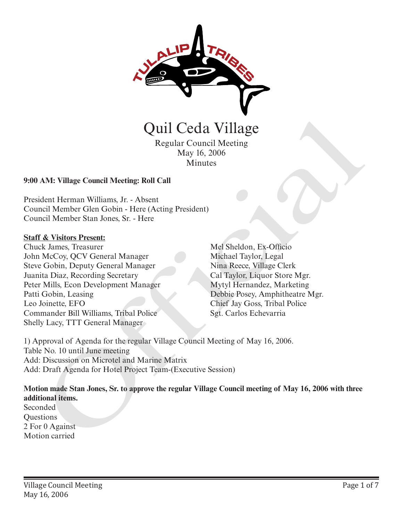

Regular Council Meeting May 16, 2006 Minutes

#### **9:00 AM: Village Council Meeting: Roll Call**

President Herman Williams, Jr. - Absent Council Member Glen Gobin - Here (Acting President) Council Member Stan Jones, Sr. - Here

#### **Staff & Visitors Present:**

Chuck James, Treasurer John McCoy, QCV General Manager Steve Gobin, Deputy General Manager Juanita Diaz, Recording Secretary Peter Mills, Econ Development Manager Patti Gobin, Leasing Leo Joinette, EFO Commander Bill Williams, Tribal Police Shelly Lacy, TTT General Manager Quil Cedia Village<br>
Regular Council Meeting<br>
May 16, 2006<br>
Minutes<br>
May 16, 2006<br>
Minutes<br>
AM: Village Council Meeting: Roll Call<br>
dcnt Herman Williams, Jr. - Absent<br>
ncil Member Gien Gobin - Here (Acting President)<br>
Mel S

Mel Sheldon, Ex-Officio Michael Taylor, Legal Nina Reece, Village Clerk Cal Taylor, Liquor Store Mgr. Mytyl Hernandez, Marketing Debbie Posey, Amphitheatre Mgr. Chief Jay Goss, Tribal Police

1) Approval of Agenda for the regular Village Council Meeting of May 16, 2006. Table No. 10 until June meeting Add: Discussion on Microtel and Marine Matrix Add: Draft Agenda for Hotel Project Team-(Executive Session)

**Motion made Stan Jones, Sr. to approve the regular Village Council meeting of May 16, 2006 with three additional items.**

Seconded **Questions** 2 For 0 Against Motion carried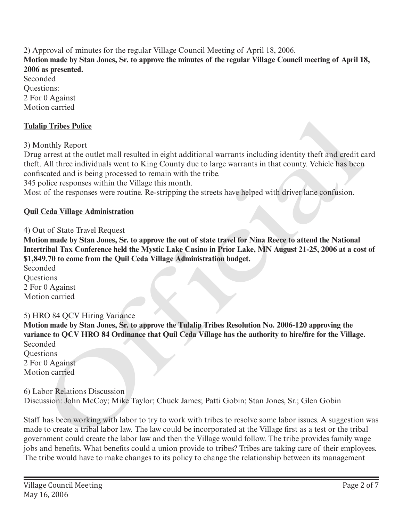2) Approval of minutes for the regular Village Council Meeting of April 18, 2006. **Motion made by Stan Jones, Sr. to approve the minutes of the regular Village Council meeting of April 18, 2006 as presented.**

Seconded Questions: 2 For 0 Against Motion carried

## **Tulalip Tribes Police**

3) Monthly Report

Drug arrest at the outlet mall resulted in eight additional warrants including identity theft and credit card theft. All three individuals went to King County due to large warrants in that county. Vehicle has been confiscated and is being processed to remain with the tribe.

345 police responses within the Village this month.

Most of the responses were routine. Re-stripping the streets have helped with driver lane confusion.

#### **Quil Ceda Village Administration**

#### 4) Out of State Travel Request

**Motion made by Stan Jones, Sr. to approve the out of state travel for Nina Reece to attend the National Intertribal Tax Conference held the Mystic Lake Casino in Prior Lake, MN August 21-25, 2006 at a cost of \$1,849.70 to come from the Quil Ceda Village Administration budget.** 

Seconded **Ouestions** 2 For 0 Against Motion carried

#### 5) HRO 84 QCV Hiring Variance

**Motion made by Stan Jones, Sr. to approve the Tulalip Tribes Resolution No. 2006-120 approving the variance to QCV HRO 84 Ordinance that Quil Ceda Village has the authority to hire/fire for the Village.** Seconded **Ouestions** lip Tribes Police<br>
onthly Report<br>
onthly Report<br>
onthly Report<br>
a areas at the couled mall resulted in eight additional warrants including identity theft and credit<br>
c. All three individuals went to King County due to larg

2 For 0 Against Motion carried

6) Labor Relations Discussion Discussion: John McCoy; Mike Taylor; Chuck James; Patti Gobin; Stan Jones, Sr.; Glen Gobin

Staff has been working with labor to try to work with tribes to resolve some labor issues. A suggestion was made to create a tribal labor law. The law could be incorporated at the Village first as a test or the tribal government could create the labor law and then the Village would follow. The tribe provides family wage jobs and benefits. What benefits could a union provide to tribes? Tribes are taking care of their employees. The tribe would have to make changes to its policy to change the relationship between its management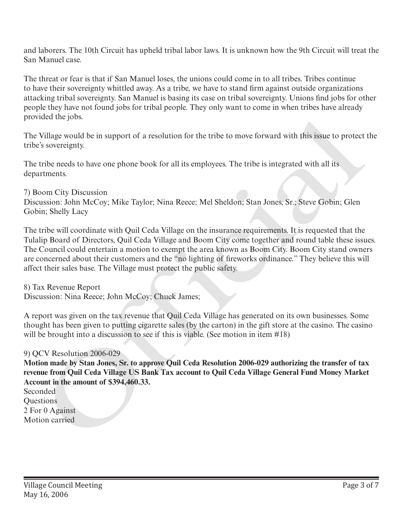and laborers. The 10th Circuit has upheld tribal labor laws. It is unknown how the 9th Circuit will treat the San Manuel case.

The threat or fear is that if San Manuel loses, the unions could come in to all tribes. Tribes continue to have their sovereignty whittled away. As a tribe, we have to stand firm against outside organizations attacking tribal sovereignty. San Manuel is basing its case on tribal sovereignty. Unions find jobs for other people they have not found jobs for tribal people. They only want to come in when tribes have already provided the jobs.

The Village would be in support of a resolution for the tribe to move forward with this issue to protect the tribe's sovereignty.

The tribe needs to have one phone book for all its employees. The tribe is integrated with all its departments.

7) Boom City Discussion Discussion: John McCoy; Mike Taylor; Nina Reece; Mel Sheldon; Stan Jones, Sr.; Steve Gobin; Glen Gobin; Shelly Lacy

The tribe will coordinate with Quil Ceda Village on the insurance requirements. It is requested that the Tulalip Board of Directors, Quil Ceda Village and Boom City come together and round table these issues. The Council could entertain a motion to exempt the area known as Boom City. Boom City stand owners are concerned about their customers and the "no lighting of fireworks ordinance." They believe this will affect their sales base. The Village must protect the public safety. provided the jons.<br>The Village would be in support of a resolution for the tribe to move forward with this issue to protect<br>The Village would be in support of a resolution for the tribe is integrated with all its<br>Orphament

8) Tax Revenue Report

Discussion: Nina Reece; John McCoy; Chuck James;

A report was given on the tax revenue that Quil Ceda Village has generated on its own businesses. Some thought has been given to putting cigarette sales (by the carton) in the gift store at the casino. The casino will be brought into a discussion to see if this is viable. (See motion in item #18)

## 9) QCV Resolution 2006-029

**Motion made by Stan Jones, Sr. to approve Quil Ceda Resolution 2006-029 authorizing the transfer of tax revenue from Quil Ceda Village US Bank Tax account to Quil Ceda Village General Fund Money Market Account in the amount of \$394,460.33.**

Seconded Questions 2 For 0 Against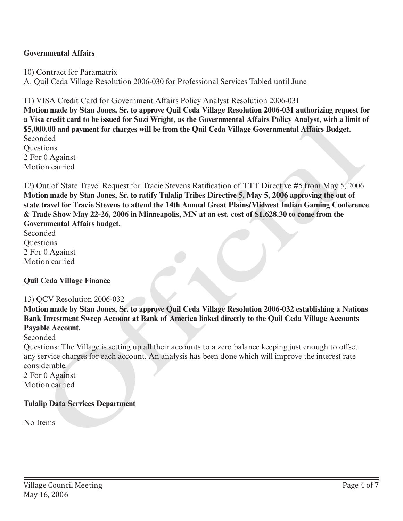### **Governmental Affairs**

10) Contract for Paramatrix

A. Quil Ceda Village Resolution 2006-030 for Professional Services Tabled until June

11) VISA Credit Card for Government Affairs Policy Analyst Resolution 2006-031

**Motion made by Stan Jones, Sr. to approve Quil Ceda Village Resolution 2006-031 authorizing request for a Visa credit card to be issued for Suzi Wright, as the Governmental Affairs Policy Analyst, with a limit of \$5,000.00 and payment for charges will be from the Quil Ceda Village Governmental Affairs Budget.** Seconded **Ouestions** 2 For 0 Against

Motion carried

12) Out of State Travel Request for Tracie Stevens Ratification of TTT Directive #5 from May 5, 2006 **Motion made by Stan Jones, Sr. to ratify Tulalip Tribes Directive 5, May 5, 2006 approving the out of state travel for Tracie Stevens to attend the 14th Annual Great Plains/Midwest Indian Gaming Conference & Trade Show May 22-26, 2006 in Minneapolis, MN at an est. cost of \$1,628.30 to come from the Governmental Affairs budget.** a Visa credit card to be issued for Suzi Wright, as the Governmental Affairs Policy Analyst, with a limit of<br>SS,000.00 and payment for charges will be from the Quil Ceda Village Governmental Affairs Budget.<br>Seconded<br>Questi

Seconded **Ouestions** 2 For 0 Against Motion carried

## **Quil Ceda Village Finance**

#### 13) QCV Resolution 2006-032

**Motion made by Stan Jones, Sr. to approve Quil Ceda Village Resolution 2006-032 establishing a Nations Bank Investment Sweep Account at Bank of America linked directly to the Quil Ceda Village Accounts Payable Account.**

Seconded

Questions: The Village is setting up all their accounts to a zero balance keeping just enough to offset any service charges for each account. An analysis has been done which will improve the interest rate considerable.

2 For 0 Against Motion carried

#### **Tulalip Data Services Department**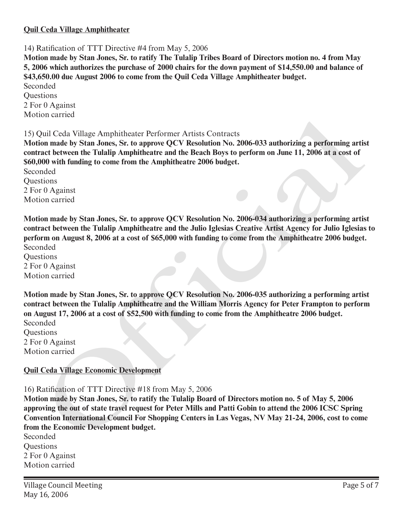#### **Quil Ceda Village Amphitheater**

14) Ratification of TTT Directive #4 from May 5, 2006

**Motion made by Stan Jones, Sr. to ratify The Tulalip Tribes Board of Directors motion no. 4 from May 5, 2006 which authorizes the purchase of 2000 chairs for the down payment of \$14,550.00 and balance of \$43,650.00 due August 2006 to come from the Quil Ceda Village Amphitheater budget.**

Seconded **Questions** 2 For 0 Against Motion carried

15) Quil Ceda Village Amphitheater Performer Artists Contracts

**Motion made by Stan Jones, Sr. to approve QCV Resolution No. 2006-033 authorizing a performing artist contract between the Tulalip Amphitheatre and the Beach Boys to perform on June 11, 2006 at a cost of \$60,000 with funding to come from the Amphitheatre 2006 budget.**

Seconded **Questions** 2 For 0 Against Motion carried

**Motion made by Stan Jones, Sr. to approve QCV Resolution No. 2006-034 authorizing a performing artist contract between the Tulalip Amphitheatre and the Julio Iglesias Creative Artist Agency for Julio Iglesias to perform on August 8, 2006 at a cost of \$65,000 with funding to come from the Amphitheatre 2006 budget.** Seconded

**Ouestions** 2 For 0 Against Motion carried

**Motion made by Stan Jones, Sr. to approve QCV Resolution No. 2006-035 authorizing a performing artist contract between the Tulalip Amphitheatre and the William Morris Agency for Peter Frampton to perform on August 17, 2006 at a cost of \$52,500 with funding to come from the Amphitheatre 2006 budget.** Seconded concluded<br>notice and Willage Amphitheater Performer Artists Contracts<br>non made by Stan Jones, Sr. to approve QCV Resolution No. 2006-033 authorizing a performing artist<br>near theorem the Tulalip Amphitheatre and the Beach B

**Questions** 2 For 0 Against Motion carried

## **Quil Ceda Village Economic Development**

16) Ratification of TTT Directive #18 from May 5, 2006

**Motion made by Stan Jones, Sr. to ratify the Tulalip Board of Directors motion no. 5 of May 5, 2006 approving the out of state travel request for Peter Mills and Patti Gobin to attend the 2006 ICSC Spring Convention International Council For Shopping Centers in Las Vegas, NV May 21-24, 2006, cost to come from the Economic Development budget.**

Seconded Questions 2 For 0 Against Motion carried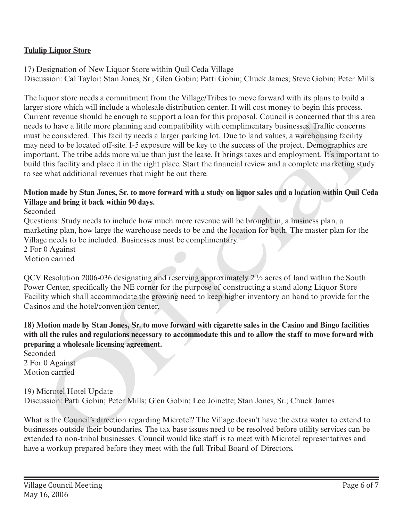# **Tulalip Liquor Store**

17) Designation of New Liquor Store within Quil Ceda Village Discussion: Cal Taylor; Stan Jones, Sr.; Glen Gobin; Patti Gobin; Chuck James; Steve Gobin; Peter Mills

The liquor store needs a commitment from the Village/Tribes to move forward with its plans to build a larger store which will include a wholesale distribution center. It will cost money to begin this process. Current revenue should be enough to support a loan for this proposal. Council is concerned that this area needs to have a little more planning and compatibility with complimentary businesses. Traffic concerns must be considered. This facility needs a larger parking lot. Due to land values, a warehousing facility may need to be located off-site. I-5 exposure will be key to the success of the project. Demographics are important. The tribe adds more value than just the lease. It brings taxes and employment. It's important to build this facility and place it in the right place. Start the financial review and a complete marketing study to see what additional revenues that might be out there. ent revenues modula de enougn to support a toan for fins proposal. Council is concerned that that a concerned<br>so to have a little mere planning and compatibitity with complimentury businesses. Traffic concerned<br>be consider

# **Motion made by Stan Jones, Sr. to move forward with a study on liquor sales and a location within Quil Ceda Village and bring it back within 90 days.**

Seconded

Questions: Study needs to include how much more revenue will be brought in, a business plan, a marketing plan, how large the warehouse needs to be and the location for both. The master plan for the Village needs to be included. Businesses must be complimentary.

2 For 0 Against Motion carried

QCV Resolution 2006-036 designating and reserving approximately 2 ½ acres of land within the South Power Center, specifically the NE corner for the purpose of constructing a stand along Liquor Store Facility which shall accommodate the growing need to keep higher inventory on hand to provide for the Casinos and the hotel/convention center.

## **18) Motion made by Stan Jones, Sr. to move forward with cigarette sales in the Casino and Bingo facilities with all the rules and regulations necessary to accommodate this and to allow the staff to move forward with preparing a wholesale licensing agreement.**

Seconded 2 For 0 Against Motion carried

### 19) Microtel Hotel Update Discussion: Patti Gobin; Peter Mills; Glen Gobin; Leo Joinette; Stan Jones, Sr.; Chuck James

What is the Council's direction regarding Microtel? The Village doesn't have the extra water to extend to businesses outside their boundaries. The tax base issues need to be resolved before utility services can be extended to non-tribal businesses. Council would like staff is to meet with Microtel representatives and have a workup prepared before they meet with the full Tribal Board of Directors.